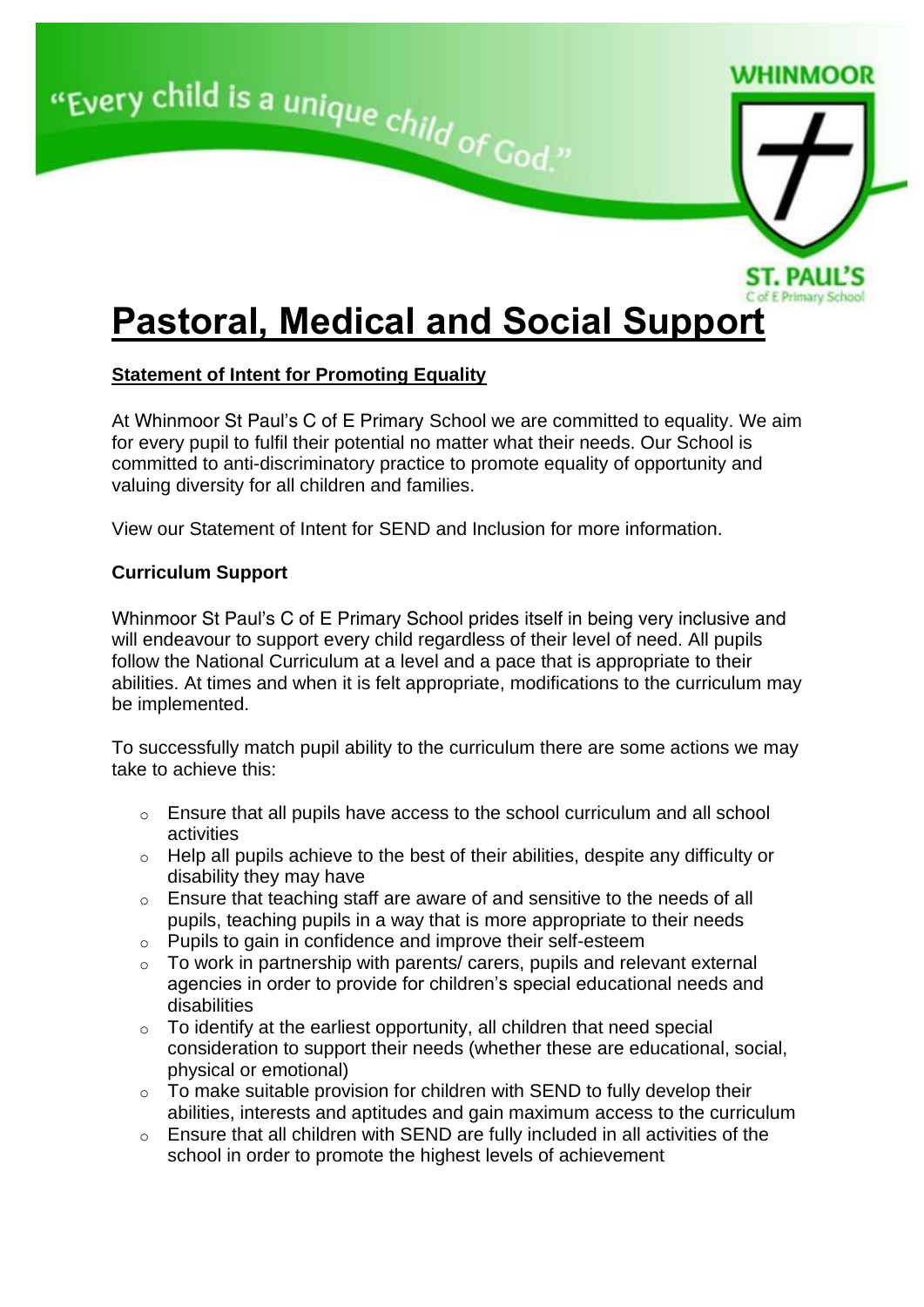

# **Statement of Intent for Promoting Equality**

At Whinmoor St Paul's C of E Primary School we are committed to equality. We aim for every pupil to fulfil their potential no matter what their needs. Our School is committed to anti-discriminatory practice to promote equality of opportunity and valuing diversity for all children and families.

View our [Statement of Intent for SEND and Inclusion for m](http://www.ox-close.durham.sch.uk/send/sen-provision/statement-of-intent-for-supporting-equality/)ore information.

# **Curriculum Support**

Whinmoor St Paul's C of E Primary School prides itself in being very inclusive and will endeavour to support every child regardless of their level of need. All pupils follow the National Curriculum at a level and a pace that is appropriate to their abilities. At times and when it is felt appropriate, modifications to the curriculum may be implemented.

To successfully match pupil ability to the curriculum there are some actions we may take to achieve this:

- o Ensure that all pupils have access to the school curriculum and all school activities
- $\circ$  Help all pupils achieve to the best of their abilities, despite any difficulty or disability they may have
- o Ensure that teaching staff are aware of and sensitive to the needs of all pupils, teaching pupils in a way that is more appropriate to their needs
- o Pupils to gain in confidence and improve their self-esteem
- $\circ$  To work in partnership with parents/ carers, pupils and relevant external agencies in order to provide for children's special educational needs and disabilities
- $\circ$  To identify at the earliest opportunity, all children that need special consideration to support their needs (whether these are educational, social, physical or emotional)
- $\circ$  To make suitable provision for children with SEND to fully develop their abilities, interests and aptitudes and gain maximum access to the curriculum
- o Ensure that all children with SEND are fully included in all activities of the school in order to promote the highest levels of achievement